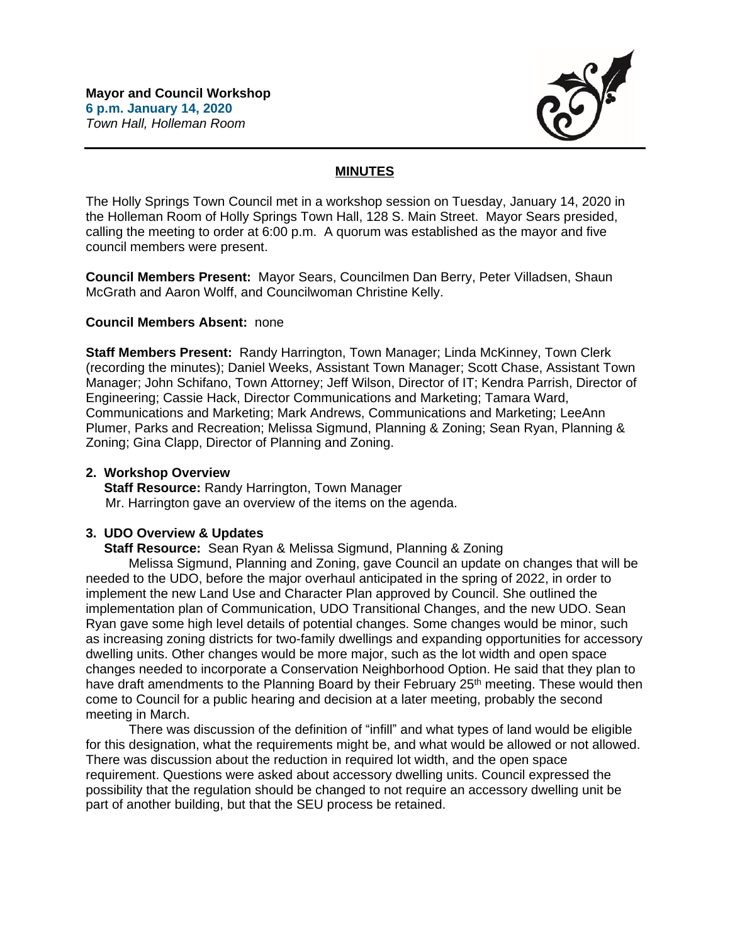

# **MINUTES**

The Holly Springs Town Council met in a workshop session on Tuesday, January 14, 2020 in the Holleman Room of Holly Springs Town Hall, 128 S. Main Street. Mayor Sears presided, calling the meeting to order at 6:00 p.m. A quorum was established as the mayor and five council members were present.

**Council Members Present:** Mayor Sears, Councilmen Dan Berry, Peter Villadsen, Shaun McGrath and Aaron Wolff, and Councilwoman Christine Kelly.

### **Council Members Absent:** none

**Staff Members Present:** Randy Harrington, Town Manager; Linda McKinney, Town Clerk (recording the minutes); Daniel Weeks, Assistant Town Manager; Scott Chase, Assistant Town Manager; John Schifano, Town Attorney; Jeff Wilson, Director of IT; Kendra Parrish, Director of Engineering; Cassie Hack, Director Communications and Marketing; Tamara Ward, Communications and Marketing; Mark Andrews, Communications and Marketing; LeeAnn Plumer, Parks and Recreation; Melissa Sigmund, Planning & Zoning; Sean Ryan, Planning & Zoning; Gina Clapp, Director of Planning and Zoning.

## **2. Workshop Overview**

 **Staff Resource:** Randy Harrington, Town Manager Mr. Harrington gave an overview of the items on the agenda.

# **3. UDO Overview & Updates**

 **Staff Resource:** Sean Ryan & Melissa Sigmund, Planning & Zoning

Melissa Sigmund, Planning and Zoning, gave Council an update on changes that will be needed to the UDO, before the major overhaul anticipated in the spring of 2022, in order to implement the new Land Use and Character Plan approved by Council. She outlined the implementation plan of Communication, UDO Transitional Changes, and the new UDO. Sean Ryan gave some high level details of potential changes. Some changes would be minor, such as increasing zoning districts for two-family dwellings and expanding opportunities for accessory dwelling units. Other changes would be more major, such as the lot width and open space changes needed to incorporate a Conservation Neighborhood Option. He said that they plan to have draft amendments to the Planning Board by their February 25<sup>th</sup> meeting. These would then come to Council for a public hearing and decision at a later meeting, probably the second meeting in March.

There was discussion of the definition of "infill" and what types of land would be eligible for this designation, what the requirements might be, and what would be allowed or not allowed. There was discussion about the reduction in required lot width, and the open space requirement. Questions were asked about accessory dwelling units. Council expressed the possibility that the regulation should be changed to not require an accessory dwelling unit be part of another building, but that the SEU process be retained.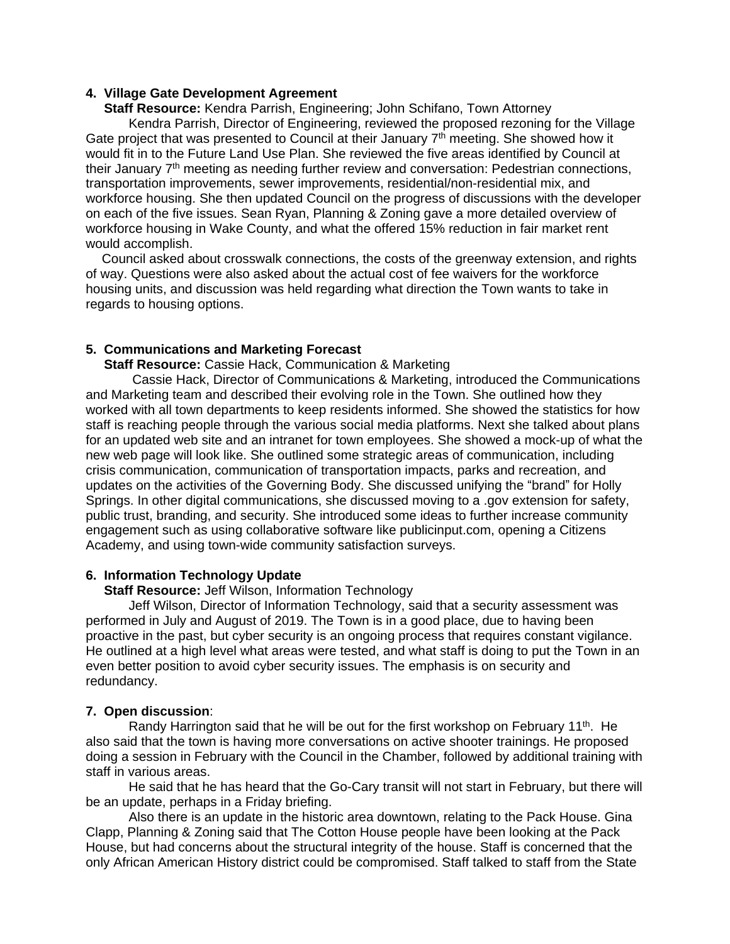### **4. Village Gate Development Agreement**

 **Staff Resource:** Kendra Parrish, Engineering; John Schifano, Town Attorney

Kendra Parrish, Director of Engineering, reviewed the proposed rezoning for the Village Gate project that was presented to Council at their January  $7<sup>th</sup>$  meeting. She showed how it would fit in to the Future Land Use Plan. She reviewed the five areas identified by Council at their January 7th meeting as needing further review and conversation: Pedestrian connections, transportation improvements, sewer improvements, residential/non-residential mix, and workforce housing. She then updated Council on the progress of discussions with the developer on each of the five issues. Sean Ryan, Planning & Zoning gave a more detailed overview of workforce housing in Wake County, and what the offered 15% reduction in fair market rent would accomplish.

Council asked about crosswalk connections, the costs of the greenway extension, and rights of way. Questions were also asked about the actual cost of fee waivers for the workforce housing units, and discussion was held regarding what direction the Town wants to take in regards to housing options.

#### **5. Communications and Marketing Forecast**

 **Staff Resource:** Cassie Hack, Communication & Marketing

Cassie Hack, Director of Communications & Marketing, introduced the Communications and Marketing team and described their evolving role in the Town. She outlined how they worked with all town departments to keep residents informed. She showed the statistics for how staff is reaching people through the various social media platforms. Next she talked about plans for an updated web site and an intranet for town employees. She showed a mock-up of what the new web page will look like. She outlined some strategic areas of communication, including crisis communication, communication of transportation impacts, parks and recreation, and updates on the activities of the Governing Body. She discussed unifying the "brand" for Holly Springs. In other digital communications, she discussed moving to a .gov extension for safety, public trust, branding, and security. She introduced some ideas to further increase community engagement such as using collaborative software like publicinput.com, opening a Citizens Academy, and using town-wide community satisfaction surveys.

### **6. Information Technology Update**

**Staff Resource:** Jeff Wilson, Information Technology

Jeff Wilson, Director of Information Technology, said that a security assessment was performed in July and August of 2019. The Town is in a good place, due to having been proactive in the past, but cyber security is an ongoing process that requires constant vigilance. He outlined at a high level what areas were tested, and what staff is doing to put the Town in an even better position to avoid cyber security issues. The emphasis is on security and redundancy.

#### **7. Open discussion**:

Randy Harrington said that he will be out for the first workshop on February  $11<sup>th</sup>$ . He also said that the town is having more conversations on active shooter trainings. He proposed doing a session in February with the Council in the Chamber, followed by additional training with staff in various areas.

He said that he has heard that the Go-Cary transit will not start in February, but there will be an update, perhaps in a Friday briefing.

Also there is an update in the historic area downtown, relating to the Pack House. Gina Clapp, Planning & Zoning said that The Cotton House people have been looking at the Pack House, but had concerns about the structural integrity of the house. Staff is concerned that the only African American History district could be compromised. Staff talked to staff from the State